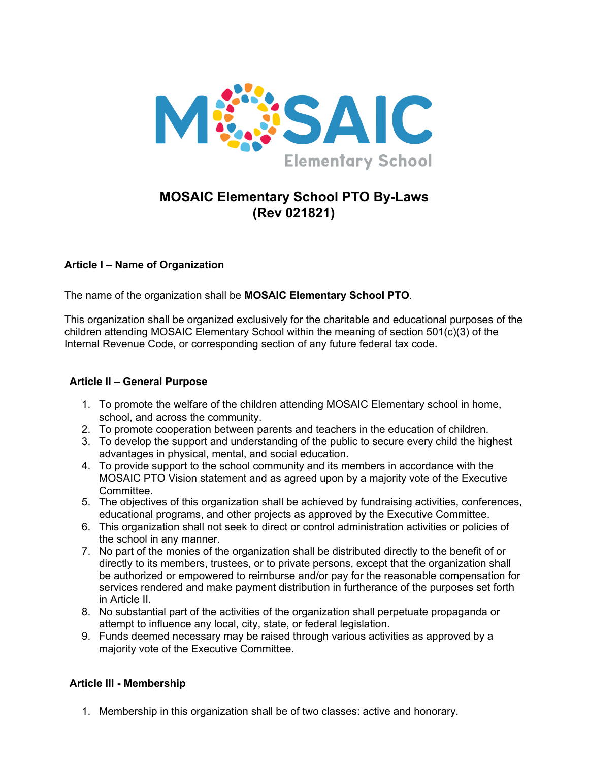

# **MOSAIC Elementary School PTO By-Laws (Rev 021821)**

## **Article I – Name of Organization**

The name of the organization shall be **MOSAIC Elementary School PTO**.

This organization shall be organized exclusively for the charitable and educational purposes of the children attending MOSAIC Elementary School within the meaning of section 501(c)(3) of the Internal Revenue Code, or corresponding section of any future federal tax code.

#### **Article II – General Purpose**

- 1. To promote the welfare of the children attending MOSAIC Elementary school in home, school, and across the community.
- 2. To promote cooperation between parents and teachers in the education of children.
- 3. To develop the support and understanding of the public to secure every child the highest advantages in physical, mental, and social education.
- 4. To provide support to the school community and its members in accordance with the MOSAIC PTO Vision statement and as agreed upon by a majority vote of the Executive Committee.
- 5. The objectives of this organization shall be achieved by fundraising activities, conferences, educational programs, and other projects as approved by the Executive Committee.
- 6. This organization shall not seek to direct or control administration activities or policies of the school in any manner.
- 7. No part of the monies of the organization shall be distributed directly to the benefit of or directly to its members, trustees, or to private persons, except that the organization shall be authorized or empowered to reimburse and/or pay for the reasonable compensation for services rendered and make payment distribution in furtherance of the purposes set forth in Article II.
- 8. No substantial part of the activities of the organization shall perpetuate propaganda or attempt to influence any local, city, state, or federal legislation.
- 9. Funds deemed necessary may be raised through various activities as approved by a majority vote of the Executive Committee.

#### **Article III - Membership**

1. Membership in this organization shall be of two classes: active and honorary.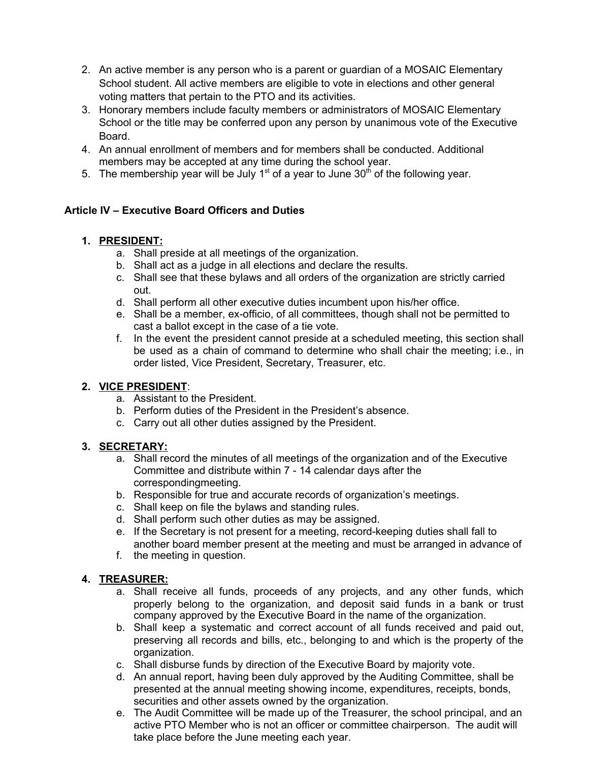- 2. An active member is any person who is a parent or guardian of a MOSAIC Elementary School student. All active members are eligible to vote in elections and other general voting matters that pertain to the PTO and its activities.
- 3. Honorary members include faculty members or administrators of MOSAIC Elementary School or the title may be conferred upon any person by unanimous vote of the Executive Board.
- 4. An annual enrollment of members and for members shall be conducted. Additional members may be accepted at any time during the school year.
- 5. The membership year will be July  $1<sup>st</sup>$  of a year to June 30<sup>th</sup> of the following year.

## **Article IV – Executive Board Officers and Duties**

## **1. PRESIDENT:**

- a. Shall preside at all meetings of the organization.
- b. Shall act as a judge in all elections and declare the results.
- c. Shall see that these bylaws and all orders of the organization are strictly carried out.
- d. Shall perform all other executive duties incumbent upon his/her office.
- e. Shall be a member, ex-officio, of all committees, though shall not be permitted to cast a ballot except in the case of a tie vote.
- f. In the event the president cannot preside at a scheduled meeting, this section shall be used as a chain of command to determine who shall chair the meeting; i.e., in order listed, Vice President, Secretary, Treasurer, etc.

# **2. VICE PRESIDENT**:

- a. Assistant to the President.
- b. Perform duties of the President in the President's absence.
- c. Carry out all other duties assigned by the President.

## **3. SECRETARY:**

- a. Shall record the minutes of all meetings of the organization and of the Executive Committee and distribute within 7 - 14 calendar days after the correspondingmeeting.
- b. Responsible for true and accurate records of organization's meetings.
- c. Shall keep on file the bylaws and standing rules.
- d. Shall perform such other duties as may be assigned.
- e. If the Secretary is not present for a meeting, record-keeping duties shall fall to another board member present at the meeting and must be arranged in advance of
- f. the meeting in question.

# **4. TREASURER:**

- a. Shall receive all funds, proceeds of any projects, and any other funds, which properly belong to the organization, and deposit said funds in a bank or trust company approved by the Executive Board in the name of the organization.
- b. Shall keep a systematic and correct account of all funds received and paid out, preserving all records and bills, etc., belonging to and which is the property of the organization.
- c. Shall disburse funds by direction of the Executive Board by majority vote.
- d. An annual report, having been duly approved by the Auditing Committee, shall be presented at the annual meeting showing income, expenditures, receipts, bonds, securities and other assets owned by the organization.
- e. The Audit Committee will be made up of the Treasurer, the school principal, and an active PTO Member who is not an officer or committee chairperson. The audit will take place before the June meeting each year.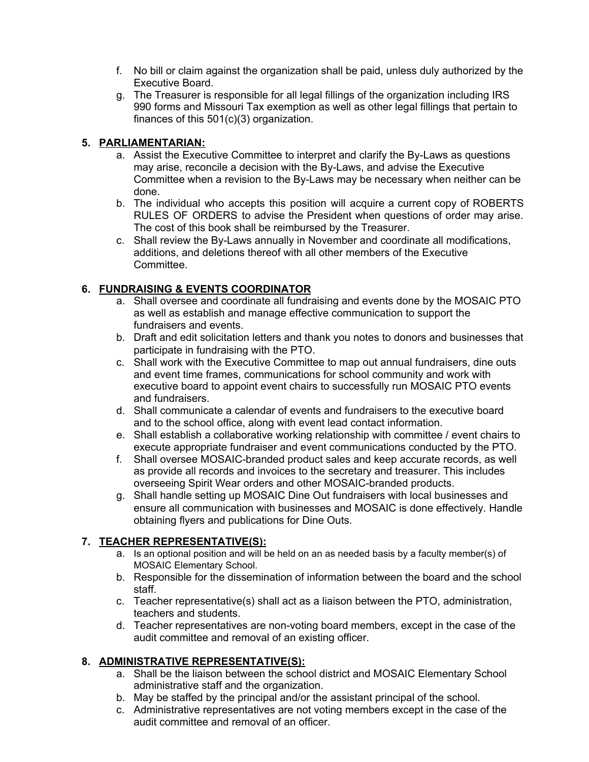- f. No bill or claim against the organization shall be paid, unless duly authorized by the Executive Board.
- g. The Treasurer is responsible for all legal fillings of the organization including IRS 990 forms and Missouri Tax exemption as well as other legal fillings that pertain to finances of this 501(c)(3) organization.

#### **5. PARLIAMENTARIAN:**

- a. Assist the Executive Committee to interpret and clarify the By-Laws as questions may arise, reconcile a decision with the By-Laws, and advise the Executive Committee when a revision to the By-Laws may be necessary when neither can be done.
- b. The individual who accepts this position will acquire a current copy of ROBERTS RULES OF ORDERS to advise the President when questions of order may arise. The cost of this book shall be reimbursed by the Treasurer.
- c. Shall review the By-Laws annually in November and coordinate all modifications, additions, and deletions thereof with all other members of the Executive Committee.

## **6. FUNDRAISING & EVENTS COORDINATOR**

- a. Shall oversee and coordinate all fundraising and events done by the MOSAIC PTO as well as establish and manage effective communication to support the fundraisers and events.
- b. Draft and edit solicitation letters and thank you notes to donors and businesses that participate in fundraising with the PTO.
- c. Shall work with the Executive Committee to map out annual fundraisers, dine outs and event time frames, communications for school community and work with executive board to appoint event chairs to successfully run MOSAIC PTO events and fundraisers.
- d. Shall communicate a calendar of events and fundraisers to the executive board and to the school office, along with event lead contact information.
- e. Shall establish a collaborative working relationship with committee / event chairs to execute appropriate fundraiser and event communications conducted by the PTO.
- f. Shall oversee MOSAIC-branded product sales and keep accurate records, as well as provide all records and invoices to the secretary and treasurer. This includes overseeing Spirit Wear orders and other MOSAIC-branded products.
- g. Shall handle setting up MOSAIC Dine Out fundraisers with local businesses and ensure all communication with businesses and MOSAIC is done effectively. Handle obtaining flyers and publications for Dine Outs.

## **7. TEACHER REPRESENTATIVE(S):**

- a. Is an optional position and will be held on an as needed basis by a faculty member(s) of MOSAIC Elementary School.
- b. Responsible for the dissemination of information between the board and the school staff.
- c. Teacher representative(s) shall act as a liaison between the PTO, administration, teachers and students.
- d. Teacher representatives are non-voting board members, except in the case of the audit committee and removal of an existing officer.

# **8. ADMINISTRATIVE REPRESENTATIVE(S):**

- a. Shall be the liaison between the school district and MOSAIC Elementary School administrative staff and the organization.
- b. May be staffed by the principal and/or the assistant principal of the school.
- c. Administrative representatives are not voting members except in the case of the audit committee and removal of an officer.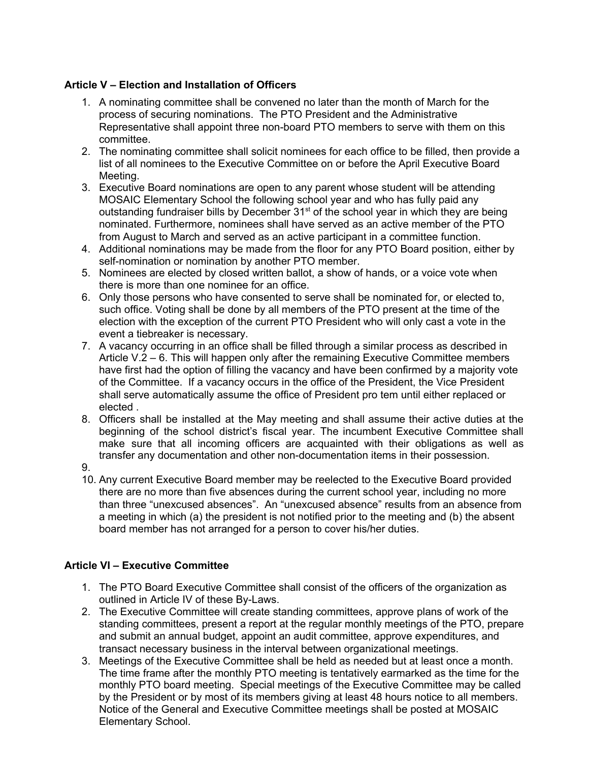## **Article V – Election and Installation of Officers**

- 1. A nominating committee shall be convened no later than the month of March for the process of securing nominations. The PTO President and the Administrative Representative shall appoint three non-board PTO members to serve with them on this committee.
- 2. The nominating committee shall solicit nominees for each office to be filled, then provide a list of all nominees to the Executive Committee on or before the April Executive Board Meeting.
- 3. Executive Board nominations are open to any parent whose student will be attending MOSAIC Elementary School the following school year and who has fully paid any outstanding fundraiser bills by December 31<sup>st</sup> of the school year in which they are being nominated. Furthermore, nominees shall have served as an active member of the PTO from August to March and served as an active participant in a committee function.
- 4. Additional nominations may be made from the floor for any PTO Board position, either by self-nomination or nomination by another PTO member.
- 5. Nominees are elected by closed written ballot, a show of hands, or a voice vote when there is more than one nominee for an office.
- 6. Only those persons who have consented to serve shall be nominated for, or elected to, such office. Voting shall be done by all members of the PTO present at the time of the election with the exception of the current PTO President who will only cast a vote in the event a tiebreaker is necessary.
- 7. A vacancy occurring in an office shall be filled through a similar process as described in Article  $V.\dot{2}$  – 6. This will happen only after the remaining Executive Committee members have first had the option of filling the vacancy and have been confirmed by a majority vote of the Committee. If a vacancy occurs in the office of the President, the Vice President shall serve automatically assume the office of President pro tem until either replaced or elected .
- 8. Officers shall be installed at the May meeting and shall assume their active duties at the beginning of the school district's fiscal year. The incumbent Executive Committee shall make sure that all incoming officers are acquainted with their obligations as well as transfer any documentation and other non-documentation items in their possession.
- 9.
- 10. Any current Executive Board member may be reelected to the Executive Board provided there are no more than five absences during the current school year, including no more than three "unexcused absences". An "unexcused absence" results from an absence from a meeting in which (a) the president is not notified prior to the meeting and (b) the absent board member has not arranged for a person to cover his/her duties.

## **Article VI – Executive Committee**

- 1. The PTO Board Executive Committee shall consist of the officers of the organization as outlined in Article IV of these By-Laws.
- 2. The Executive Committee will create standing committees, approve plans of work of the standing committees, present a report at the regular monthly meetings of the PTO, prepare and submit an annual budget, appoint an audit committee, approve expenditures, and transact necessary business in the interval between organizational meetings.
- 3. Meetings of the Executive Committee shall be held as needed but at least once a month. The time frame after the monthly PTO meeting is tentatively earmarked as the time for the monthly PTO board meeting. Special meetings of the Executive Committee may be called by the President or by most of its members giving at least 48 hours notice to all members. Notice of the General and Executive Committee meetings shall be posted at MOSAIC Elementary School.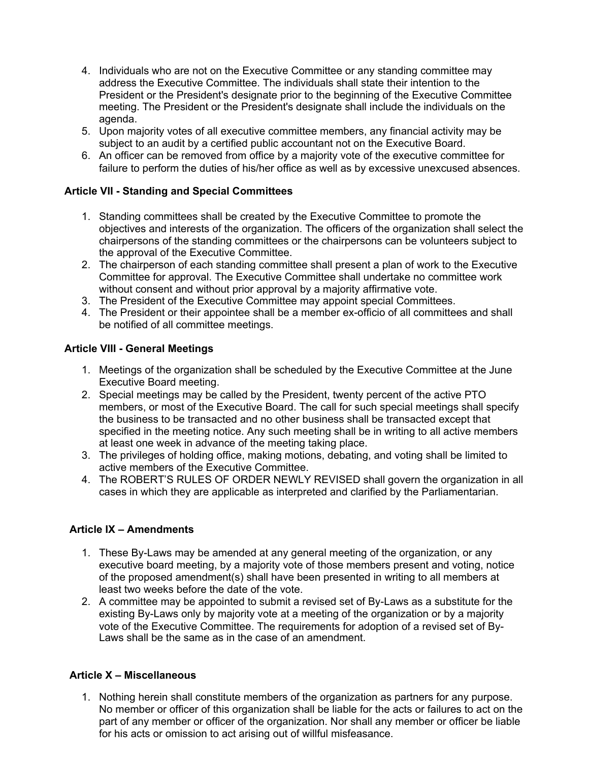- 4. Individuals who are not on the Executive Committee or any standing committee may address the Executive Committee. The individuals shall state their intention to the President or the President's designate prior to the beginning of the Executive Committee meeting. The President or the President's designate shall include the individuals on the agenda.
- 5. Upon majority votes of all executive committee members, any financial activity may be subject to an audit by a certified public accountant not on the Executive Board.
- 6. An officer can be removed from office by a majority vote of the executive committee for failure to perform the duties of his/her office as well as by excessive unexcused absences.

#### **Article VII - Standing and Special Committees**

- 1. Standing committees shall be created by the Executive Committee to promote the objectives and interests of the organization. The officers of the organization shall select the chairpersons of the standing committees or the chairpersons can be volunteers subject to the approval of the Executive Committee.
- 2. The chairperson of each standing committee shall present a plan of work to the Executive Committee for approval. The Executive Committee shall undertake no committee work without consent and without prior approval by a majority affirmative vote.
- 3. The President of the Executive Committee may appoint special Committees.
- 4. The President or their appointee shall be a member ex-officio of all committees and shall be notified of all committee meetings.

#### **Article VIII - General Meetings**

- 1. Meetings of the organization shall be scheduled by the Executive Committee at the June Executive Board meeting.
- 2. Special meetings may be called by the President, twenty percent of the active PTO members, or most of the Executive Board. The call for such special meetings shall specify the business to be transacted and no other business shall be transacted except that specified in the meeting notice. Any such meeting shall be in writing to all active members at least one week in advance of the meeting taking place.
- 3. The privileges of holding office, making motions, debating, and voting shall be limited to active members of the Executive Committee.
- 4. The ROBERT'S RULES OF ORDER NEWLY REVISED shall govern the organization in all cases in which they are applicable as interpreted and clarified by the Parliamentarian.

#### **Article IX – Amendments**

- 1. These By-Laws may be amended at any general meeting of the organization, or any executive board meeting, by a majority vote of those members present and voting, notice of the proposed amendment(s) shall have been presented in writing to all members at least two weeks before the date of the vote.
- 2. A committee may be appointed to submit a revised set of By-Laws as a substitute for the existing By-Laws only by majority vote at a meeting of the organization or by a majority vote of the Executive Committee. The requirements for adoption of a revised set of By-Laws shall be the same as in the case of an amendment.

#### **Article X – Miscellaneous**

1. Nothing herein shall constitute members of the organization as partners for any purpose. No member or officer of this organization shall be liable for the acts or failures to act on the part of any member or officer of the organization. Nor shall any member or officer be liable for his acts or omission to act arising out of willful misfeasance.